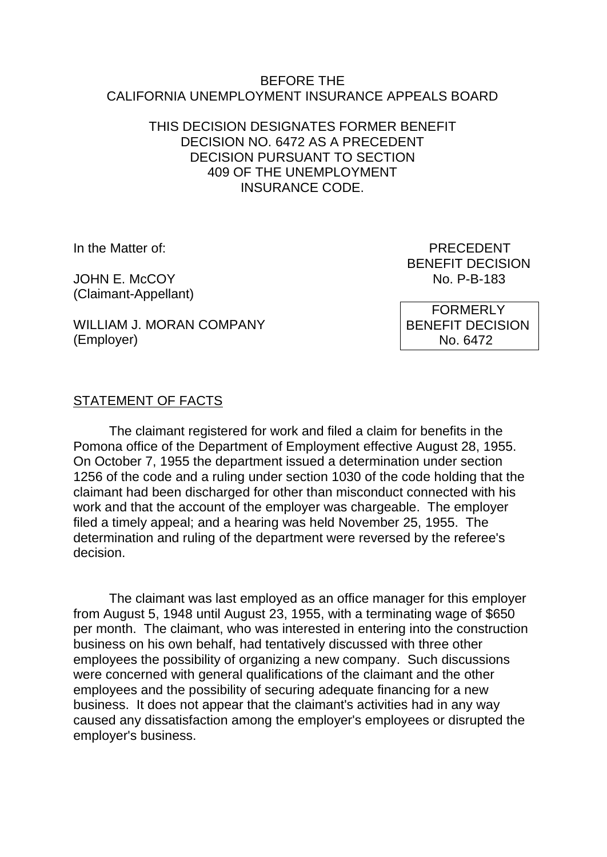#### BEFORE THE CALIFORNIA UNEMPLOYMENT INSURANCE APPEALS BOARD

### THIS DECISION DESIGNATES FORMER BENEFIT DECISION NO. 6472 AS A PRECEDENT DECISION PURSUANT TO SECTION 409 OF THE UNEMPLOYMENT INSURANCE CODE.

In the Matter of: PRECEDENT

(Employer)

JOHN E. McCOY (Claimant-Appellant)

WILLIAM J. MORAN COMPANY

BENEFIT DECISION<br>No. P-B-183

 FORMERLY BENEFIT DECISION No. 6472

## STATEMENT OF FACTS

The claimant registered for work and filed a claim for benefits in the Pomona office of the Department of Employment effective August 28, 1955. On October 7, 1955 the department issued a determination under section 1256 of the code and a ruling under section 1030 of the code holding that the claimant had been discharged for other than misconduct connected with his work and that the account of the employer was chargeable. The employer filed a timely appeal; and a hearing was held November 25, 1955. The determination and ruling of the department were reversed by the referee's decision.

The claimant was last employed as an office manager for this employer from August 5, 1948 until August 23, 1955, with a terminating wage of \$650 per month. The claimant, who was interested in entering into the construction business on his own behalf, had tentatively discussed with three other employees the possibility of organizing a new company. Such discussions were concerned with general qualifications of the claimant and the other employees and the possibility of securing adequate financing for a new business. It does not appear that the claimant's activities had in any way caused any dissatisfaction among the employer's employees or disrupted the employer's business.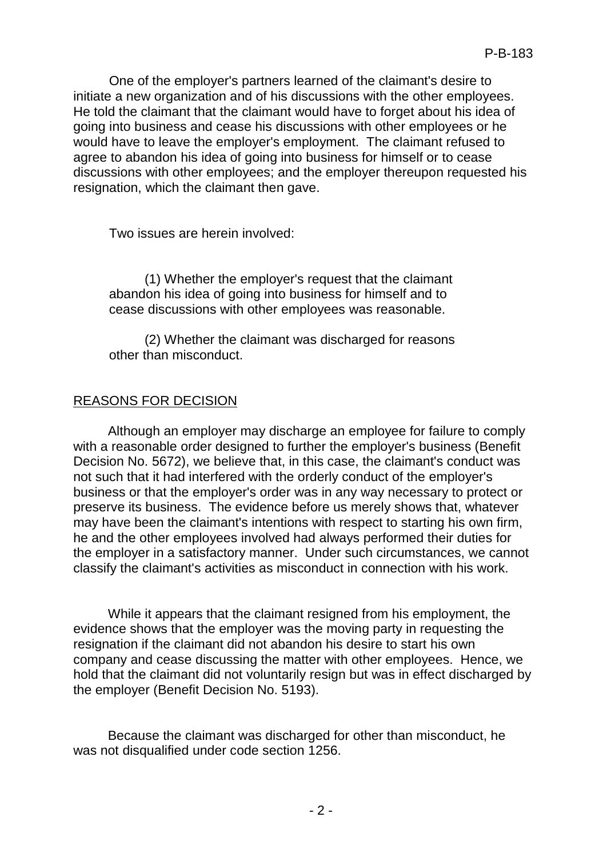One of the employer's partners learned of the claimant's desire to initiate a new organization and of his discussions with the other employees. He told the claimant that the claimant would have to forget about his idea of going into business and cease his discussions with other employees or he would have to leave the employer's employment. The claimant refused to agree to abandon his idea of going into business for himself or to cease discussions with other employees; and the employer thereupon requested his resignation, which the claimant then gave.

Two issues are herein involved:

(1) Whether the employer's request that the claimant abandon his idea of going into business for himself and to cease discussions with other employees was reasonable.

(2) Whether the claimant was discharged for reasons other than misconduct.

## REASONS FOR DECISION

Although an employer may discharge an employee for failure to comply with a reasonable order designed to further the employer's business (Benefit Decision No. 5672), we believe that, in this case, the claimant's conduct was not such that it had interfered with the orderly conduct of the employer's business or that the employer's order was in any way necessary to protect or preserve its business. The evidence before us merely shows that, whatever may have been the claimant's intentions with respect to starting his own firm, he and the other employees involved had always performed their duties for the employer in a satisfactory manner. Under such circumstances, we cannot classify the claimant's activities as misconduct in connection with his work.

While it appears that the claimant resigned from his employment, the evidence shows that the employer was the moving party in requesting the resignation if the claimant did not abandon his desire to start his own company and cease discussing the matter with other employees. Hence, we hold that the claimant did not voluntarily resign but was in effect discharged by the employer (Benefit Decision No. 5193).

Because the claimant was discharged for other than misconduct, he was not disqualified under code section 1256.